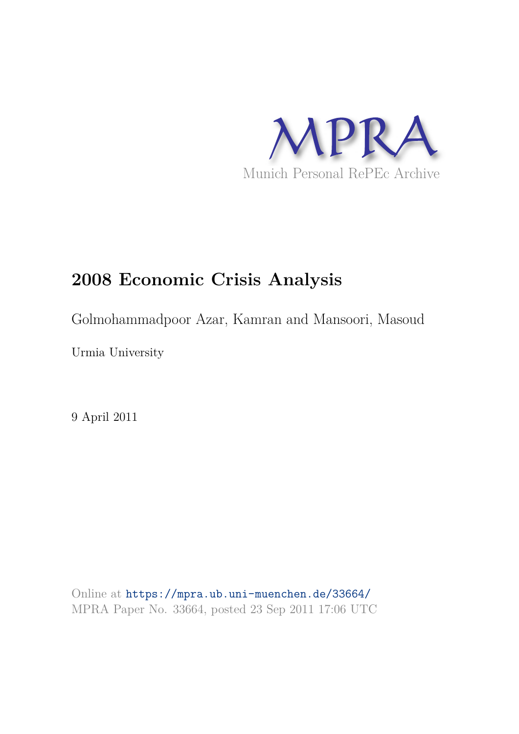

# **2008 Economic Crisis Analysis**

Golmohammadpoor Azar, Kamran and Mansoori, Masoud

Urmia University

9 April 2011

Online at https://mpra.ub.uni-muenchen.de/33664/ MPRA Paper No. 33664, posted 23 Sep 2011 17:06 UTC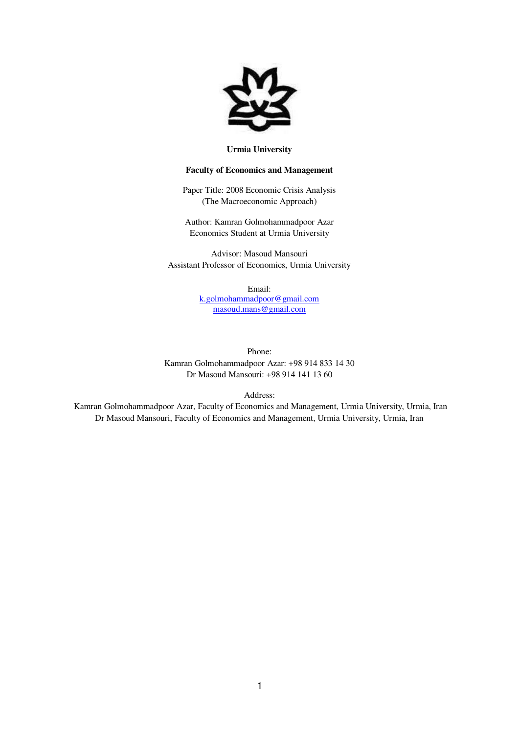

#### **Urmia University**

#### **Faculty of Economics and Management**

Paper Title: 2008 Economic Crisis Analysis (The Macroeconomic Approach)

Author: Kamran Golmohammadpoor Azar Economics Student at Urmia University

Advisor: Masoud Mansouri Assistant Professor of Economics, Urmia University

> Email: [k.golmohammadpoor@gmail.com](mailto:k.golmohammadpoor@gmail.com) [masoud.mans@gmail.com](mailto:masoud.mans@gmail.com)

Phone:

Kamran Golmohammadpoor Azar: +98 914 833 14 30 Dr Masoud Mansouri: +98 914 141 13 60

Address:

 Kamran Golmohammadpoor Azar, Faculty of Economics and Management, Urmia University, Urmia, Iran Dr Masoud Mansouri, Faculty of Economics and Management, Urmia University, Urmia, Iran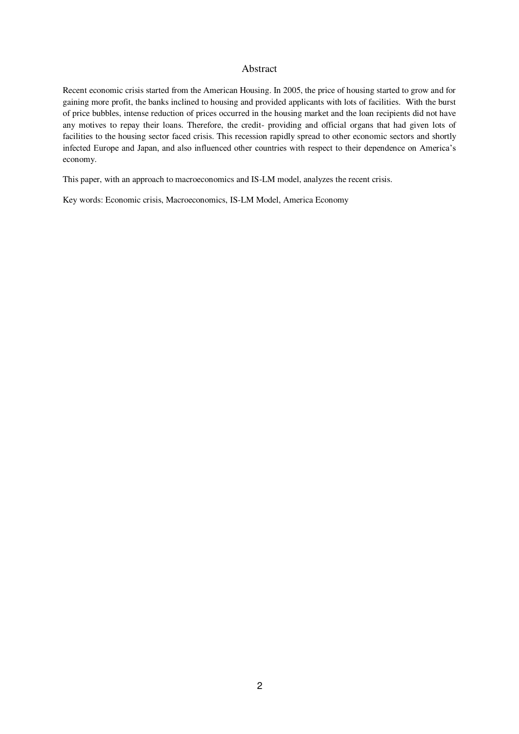#### Abstract

Recent economic crisis started from the American Housing. In 2005, the price of housing started to grow and for gaining more profit, the banks inclined to housing and provided applicants with lots of facilities. With the burst of price bubbles, intense reduction of prices occurred in the housing market and the loan recipients did not have any motives to repay their loans. Therefore, the credit- providing and official organs that had given lots of facilities to the housing sector faced crisis. This recession rapidly spread to other economic sectors and shortly infected Europe and Japan, and also influenced other countries with respect to their dependence on America's economy.

This paper, with an approach to macroeconomics and IS-LM model, analyzes the recent crisis.

Key words: Economic crisis, Macroeconomics, IS-LM Model, America Economy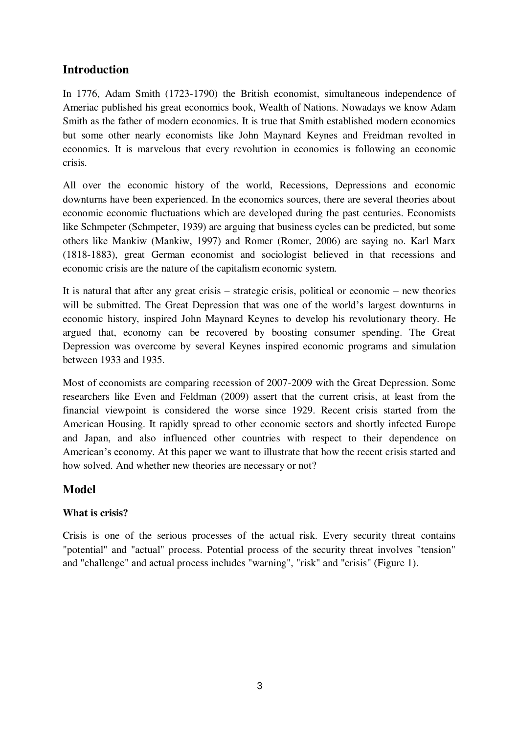# **Introduction**

In 1776, Adam Smith (1723-1790) the British economist, simultaneous independence of Ameriac published his great economics book, Wealth of Nations. Nowadays we know Adam Smith as the father of modern economics. It is true that Smith established modern economics but some other nearly economists like John Maynard Keynes and Freidman revolted in economics. It is marvelous that every revolution in economics is following an economic crisis.

All over the economic history of the world, Recessions, Depressions and economic downturns have been experienced. In the economics sources, there are several theories about economic economic fluctuations which are developed during the past centuries. Economists like Schmpeter (Schmpeter, 1939) are arguing that business cycles can be predicted, but some others like Mankiw (Mankiw, 1997) and Romer (Romer, 2006) are saying no. Karl Marx (1818-1883), great German economist and sociologist believed in that recessions and economic crisis are the nature of the capitalism economic system.

It is natural that after any great crisis – strategic crisis, political or economic – new theories will be submitted. The Great Depression that was one of the world's largest downturns in economic history, inspired John Maynard Keynes to develop his revolutionary theory. He argued that, economy can be recovered by boosting consumer spending. The Great Depression was overcome by several Keynes inspired economic programs and simulation between 1933 and 1935.

Most of economists are comparing recession of 2007-2009 with the Great Depression. Some researchers like Even and Feldman (2009) assert that the current crisis, at least from the financial viewpoint is considered the worse since 1929. Recent crisis started from the American Housing. It rapidly spread to other economic sectors and shortly infected Europe and Japan, and also influenced other countries with respect to their dependence on American's economy. At this paper we want to illustrate that how the recent crisis started and how solved. And whether new theories are necessary or not?

# **Model**

## **What is crisis?**

Crisis is one of the serious processes of the actual risk. Every security threat contains "potential" and "actual" process. Potential process of the security threat involves "tension" and "challenge" and actual process includes "warning", "risk" and "crisis" (Figure 1).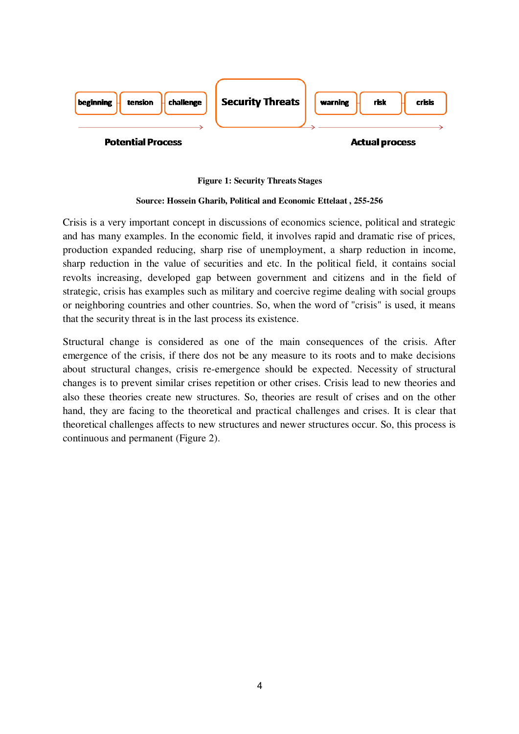

#### **Figure 1: Security Threats Stages**

#### **Source: Hossein Gharib, Political and Economic Ettelaat , 255-256**

Crisis is a very important concept in discussions of economics science, political and strategic and has many examples. In the economic field, it involves rapid and dramatic rise of prices, production expanded reducing, sharp rise of unemployment, a sharp reduction in income, sharp reduction in the value of securities and etc. In the political field, it contains social revolts increasing, developed gap between government and citizens and in the field of strategic, crisis has examples such as military and coercive regime dealing with social groups or neighboring countries and other countries. So, when the word of "crisis" is used, it means that the security threat is in the last process its existence.

Structural change is considered as one of the main consequences of the crisis. After emergence of the crisis, if there dos not be any measure to its roots and to make decisions about structural changes, crisis re-emergence should be expected. Necessity of structural changes is to prevent similar crises repetition or other crises. Crisis lead to new theories and also these theories create new structures. So, theories are result of crises and on the other hand, they are facing to the theoretical and practical challenges and crises. It is clear that theoretical challenges affects to new structures and newer structures occur. So, this process is continuous and permanent (Figure 2).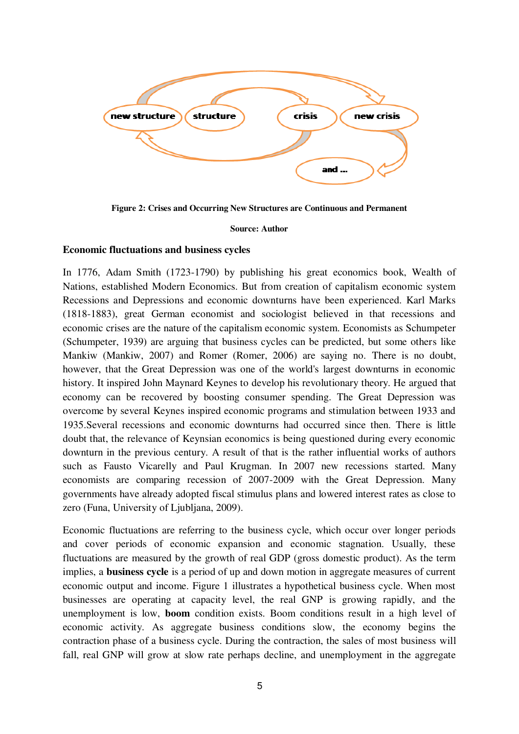

**Figure 2: Crises and Occurring New Structures are Continuous and Permanent** 

**Source: Author** 

#### **Economic fluctuations and business cycles**

In 1776, Adam Smith (1723-1790) by publishing his great economics book, Wealth of Nations, established Modern Economics. But from creation of capitalism economic system Recessions and Depressions and economic downturns have been experienced. Karl Marks (1818-1883), great German economist and sociologist believed in that recessions and economic crises are the nature of the capitalism economic system. Economists as Schumpeter (Schumpeter, 1939) are arguing that business cycles can be predicted, but some others like Mankiw (Mankiw, 2007) and Romer (Romer, 2006) are saying no. There is no doubt, however, that the Great Depression was one of the world's largest downturns in economic history. It inspired John Maynard Keynes to develop his revolutionary theory. He argued that economy can be recovered by boosting consumer spending. The Great Depression was overcome by several Keynes inspired economic programs and stimulation between 1933 and 1935.Several recessions and economic downturns had occurred since then. There is little doubt that, the relevance of Keynsian economics is being questioned during every economic downturn in the previous century. A result of that is the rather influential works of authors such as Fausto Vicarelly and Paul Krugman. In 2007 new recessions started. Many economists are comparing recession of 2007-2009 with the Great Depression. Many governments have already adopted fiscal stimulus plans and lowered interest rates as close to zero (Funa, University of Ljubljana, 2009).

Economic fluctuations are referring to the business cycle, which occur over longer periods and cover periods of economic expansion and economic stagnation. Usually, these fluctuations are measured by the growth of real GDP (gross domestic product). As the term implies, a **business cycle** is a period of up and down motion in aggregate measures of current economic output and income. Figure 1 illustrates a hypothetical business cycle. When most businesses are operating at capacity level, the real GNP is growing rapidly, and the unemployment is low, **boom** condition exists. Boom conditions result in a high level of economic activity. As aggregate business conditions slow, the economy begins the contraction phase of a business cycle. During the contraction, the sales of most business will fall, real GNP will grow at slow rate perhaps decline, and unemployment in the aggregate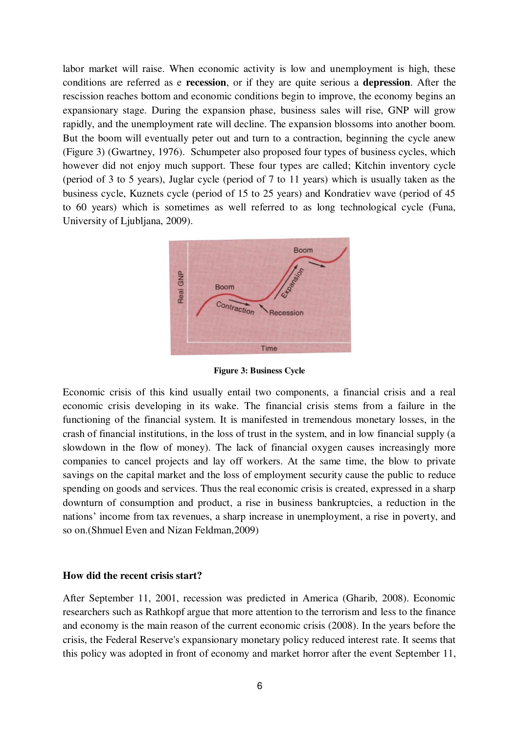labor market will raise. When economic activity is low and unemployment is high, these conditions are referred as e **recession**, or if they are quite serious a **depression**. After the rescission reaches bottom and economic conditions begin to improve, the economy begins an expansionary stage. During the expansion phase, business sales will rise, GNP will grow rapidly, and the unemployment rate will decline. The expansion blossoms into another boom. But the boom will eventually peter out and turn to a contraction, beginning the cycle anew (Figure 3) (Gwartney, 1976). Schumpeter also proposed four types of business cycles, which however did not enjoy much support. These four types are called; Kitchin inventory cycle (period of 3 to 5 years), Juglar cycle (period of 7 to 11 years) which is usually taken as the business cycle, Kuznets cycle (period of 15 to 25 years) and Kondratiev wave (period of 45 to 60 years) which is sometimes as well referred to as long technological cycle (Funa, University of Ljubljana, 2009).



**Figure 3: Business Cycle** 

Economic crisis of this kind usually entail two components, a financial crisis and a real economic crisis developing in its wake. The financial crisis stems from a failure in the functioning of the financial system. It is manifested in tremendous monetary losses, in the crash of financial institutions, in the loss of trust in the system, and in low financial supply (a slowdown in the flow of money). The lack of financial oxygen causes increasingly more companies to cancel projects and lay off workers. At the same time, the blow to private savings on the capital market and the loss of employment security cause the public to reduce spending on goods and services. Thus the real economic crisis is created, expressed in a sharp downturn of consumption and product, a rise in business bankruptcies, a reduction in the nations' income from tax revenues, a sharp increase in unemployment, a rise in poverty, and so on.(Shmuel Even and Nizan Feldman,2009)

#### **How did the recent crisis start?**

After September 11, 2001, recession was predicted in America (Gharib, 2008). Economic researchers such as Rathkopf argue that more attention to the terrorism and less to the finance and economy is the main reason of the current economic crisis (2008). In the years before the crisis, the Federal Reserve's expansionary monetary policy reduced interest rate. It seems that this policy was adopted in front of economy and market horror after the event September 11,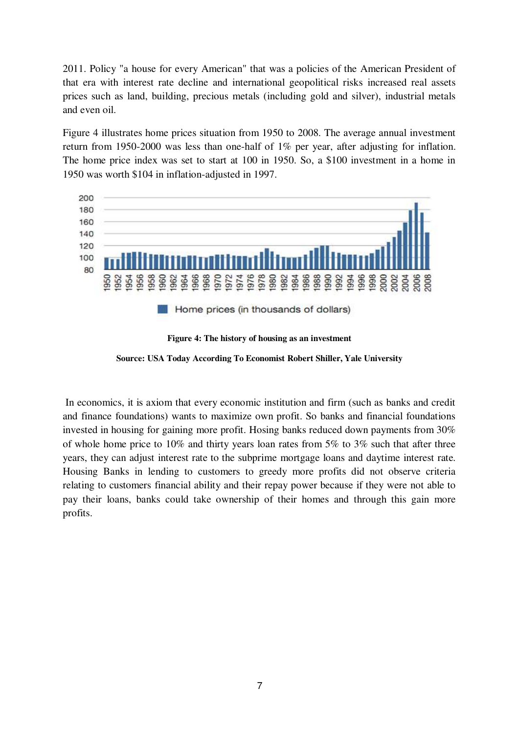2011. Policy "a house for every American" that was a policies of the American President of that era with interest rate decline and international geopolitical risks increased real assets prices such as land, building, precious metals (including gold and silver), industrial metals and even oil.

Figure 4 illustrates home prices situation from 1950 to 2008. The average annual investment return from 1950-2000 was less than one-half of 1% per year, after adjusting for inflation. The home price index was set to start at 100 in 1950. So, a \$100 investment in a home in 1950 was worth \$104 in inflation-adjusted in 1997.



**Figure 4: The history of housing as an investment** 

**Source: USA Today According To Economist Robert Shiller, Yale University** 

 In economics, it is axiom that every economic institution and firm (such as banks and credit and finance foundations) wants to maximize own profit. So banks and financial foundations invested in housing for gaining more profit. Hosing banks reduced down payments from 30% of whole home price to 10% and thirty years loan rates from 5% to 3% such that after three years, they can adjust interest rate to the subprime mortgage loans and daytime interest rate. Housing Banks in lending to customers to greedy more profits did not observe criteria relating to customers financial ability and their repay power because if they were not able to pay their loans, banks could take ownership of their homes and through this gain more profits.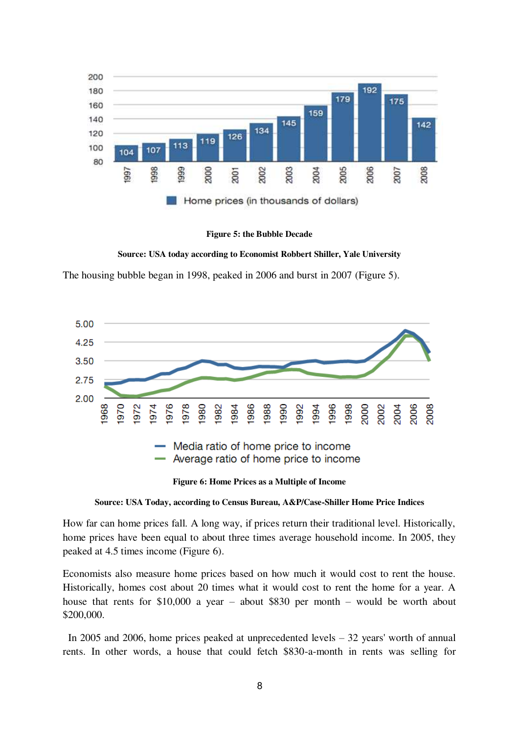

**Figure 5: the Bubble Decade** 

**Source: USA today according to Economist Robbert Shiller, Yale University** 

The housing bubble began in 1998, peaked in 2006 and burst in 2007 (Figure 5).



**Figure 6: Home Prices as a Multiple of Income** 

How far can home prices fall. A long way, if prices return their traditional level. Historically, home prices have been equal to about three times average household income. In 2005, they peaked at 4.5 times income (Figure 6).

Economists also measure home prices based on how much it would cost to rent the house. Historically, homes cost about 20 times what it would cost to rent the home for a year. A house that rents for \$10,000 a year – about \$830 per month – would be worth about \$200,000.

 In 2005 and 2006, home prices peaked at unprecedented levels – 32 years' worth of annual rents. In other words, a house that could fetch \$830-a-month in rents was selling for

**Source: USA Today, according to Census Bureau, A&P/Case-Shiller Home Price Indices**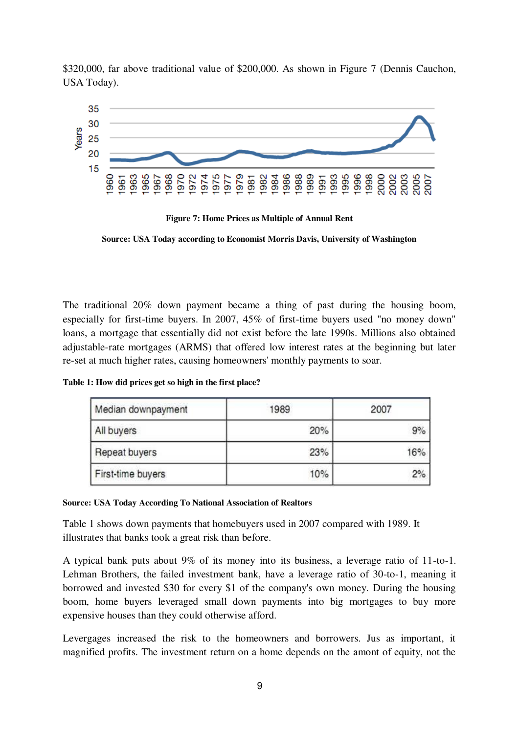\$320,000, far above traditional value of \$200,000. As shown in Figure 7 (Dennis Cauchon, USA Today).



**Figure 7: Home Prices as Multiple of Annual Rent** 

**Source: USA Today according to Economist Morris Davis, University of Washington** 

The traditional 20% down payment became a thing of past during the housing boom, especially for first-time buyers. In 2007, 45% of first-time buyers used "no money down" loans, a mortgage that essentially did not exist before the late 1990s. Millions also obtained adjustable-rate mortgages (ARMS) that offered low interest rates at the beginning but later re-set at much higher rates, causing homeowners' monthly payments to soar.

**Table 1: How did prices get so high in the first place?** 

| Median downpayment | 1989 | 2007 |
|--------------------|------|------|
| All buyers         | 20%  | 9%   |
| Repeat buyers      | 23%  | 16%  |
| First-time buyers  | 10%  | 2%   |

**Source: USA Today According To National Association of Realtors**

Table 1 shows down payments that homebuyers used in 2007 compared with 1989. It illustrates that banks took a great risk than before.

A typical bank puts about 9% of its money into its business, a leverage ratio of 11-to-1. Lehman Brothers, the failed investment bank, have a leverage ratio of 30-to-1, meaning it borrowed and invested \$30 for every \$1 of the company's own money. During the housing boom, home buyers leveraged small down payments into big mortgages to buy more expensive houses than they could otherwise afford.

Levergages increased the risk to the homeowners and borrowers. Jus as important, it magnified profits. The investment return on a home depends on the amont of equity, not the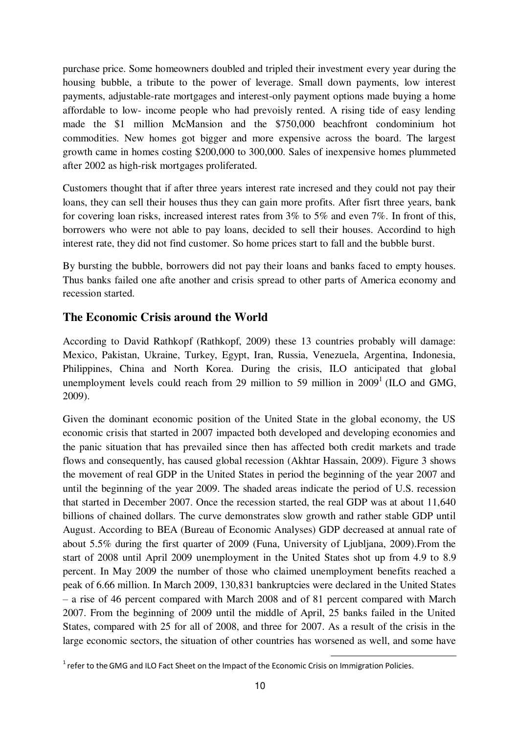purchase price. Some homeowners doubled and tripled their investment every year during the housing bubble, a tribute to the power of leverage. Small down payments, low interest payments, adjustable-rate mortgages and interest-only payment options made buying a home affordable to low- income people who had prevoisly rented. A rising tide of easy lending made the \$1 million McMansion and the \$750,000 beachfront condominium hot commodities. New homes got bigger and more expensive across the board. The largest growth came in homes costing \$200,000 to 300,000. Sales of inexpensive homes plummeted after 2002 as high-risk mortgages proliferated.

Customers thought that if after three years interest rate incresed and they could not pay their loans, they can sell their houses thus they can gain more profits. After fisrt three years, bank for covering loan risks, increased interest rates from 3% to 5% and even 7%. In front of this, borrowers who were not able to pay loans, decided to sell their houses. Accordind to high interest rate, they did not find customer. So home prices start to fall and the bubble burst.

By bursting the bubble, borrowers did not pay their loans and banks faced to empty houses. Thus banks failed one afte another and crisis spread to other parts of America economy and recession started.

# **The Economic Crisis around the World**

According to David Rathkopf (Rathkopf, 2009) these 13 countries probably will damage: Mexico, Pakistan, Ukraine, Turkey, Egypt, Iran, Russia, Venezuela, Argentina, Indonesia, Philippines, China and North Korea. During the crisis, ILO anticipated that global unemployment levels could reach from 29 million to 59 million in  $2009<sup>1</sup>$  (ILO and GMG, 2009).

Given the dominant economic position of the United State in the global economy, the US economic crisis that started in 2007 impacted both developed and developing economies and the panic situation that has prevailed since then has affected both credit markets and trade flows and consequently, has caused global recession (Akhtar Hassain, 2009). Figure 3 shows the movement of real GDP in the United States in period the beginning of the year 2007 and until the beginning of the year 2009. The shaded areas indicate the period of U.S. recession that started in December 2007. Once the recession started, the real GDP was at about 11,640 billions of chained dollars. The curve demonstrates slow growth and rather stable GDP until August. According to BEA (Bureau of Economic Analyses) GDP decreased at annual rate of about 5.5% during the first quarter of 2009 (Funa, University of Ljubljana, 2009).From the start of 2008 until April 2009 unemployment in the United States shot up from 4.9 to 8.9 percent. In May 2009 the number of those who claimed unemployment benefits reached a peak of 6.66 million. In March 2009, 130,831 bankruptcies were declared in the United States – a rise of 46 percent compared with March 2008 and of 81 percent compared with March 2007. From the beginning of 2009 until the middle of April, 25 banks failed in the United States, compared with 25 for all of 2008, and three for 2007. As a result of the crisis in the large economic sectors, the situation of other countries has worsened as well, and some have

<sup>&</sup>lt;u>.</u>  $1$  refer to the GMG and ILO Fact Sheet on the Impact of the Economic Crisis on Immigration Policies.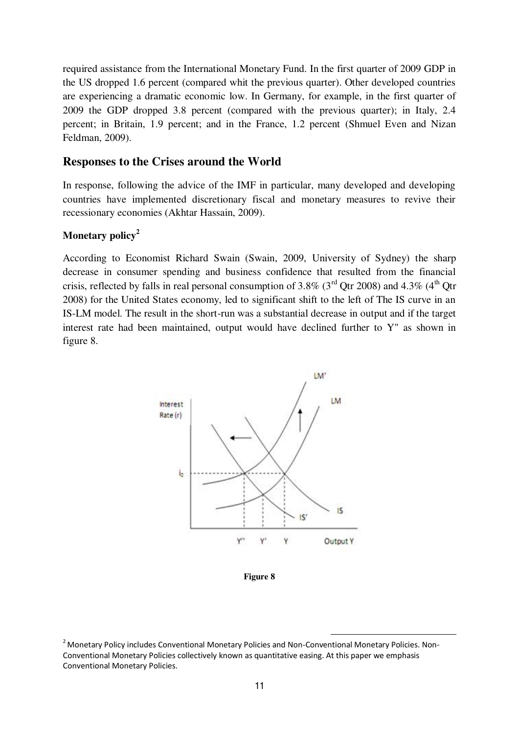required assistance from the International Monetary Fund. In the first quarter of 2009 GDP in the US dropped 1.6 percent (compared whit the previous quarter). Other developed countries are experiencing a dramatic economic low. In Germany, for example, in the first quarter of 2009 the GDP dropped 3.8 percent (compared with the previous quarter); in Italy, 2.4 percent; in Britain, 1.9 percent; and in the France, 1.2 percent (Shmuel Even and Nizan Feldman, 2009).

## **Responses to the Crises around the World**

In response, following the advice of the IMF in particular, many developed and developing countries have implemented discretionary fiscal and monetary measures to revive their recessionary economies (Akhtar Hassain, 2009).

## **Monetary policy<sup>2</sup>**

According to Economist Richard Swain (Swain, 2009, University of Sydney) the sharp decrease in consumer spending and business confidence that resulted from the financial crisis, reflected by falls in real personal consumption of 3.8% ( $3<sup>rd</sup>$  Qtr 2008) and 4.3% ( $4<sup>th</sup>$  Qtr 2008) for the United States economy, led to significant shift to the left of The IS curve in an IS-LM model. The result in the short-run was a substantial decrease in output and if the target interest rate had been maintained, output would have declined further to Y" as shown in figure 8.



**Figure 8** 

 $\overline{a}$ 

<sup>&</sup>lt;sup>2</sup> Monetary Policy includes Conventional Monetary Policies and Non-Conventional Monetary Policies. Non-Conventional Monetary Policies collectively known as quantitative easing. At this paper we emphasis Conventional Monetary Policies.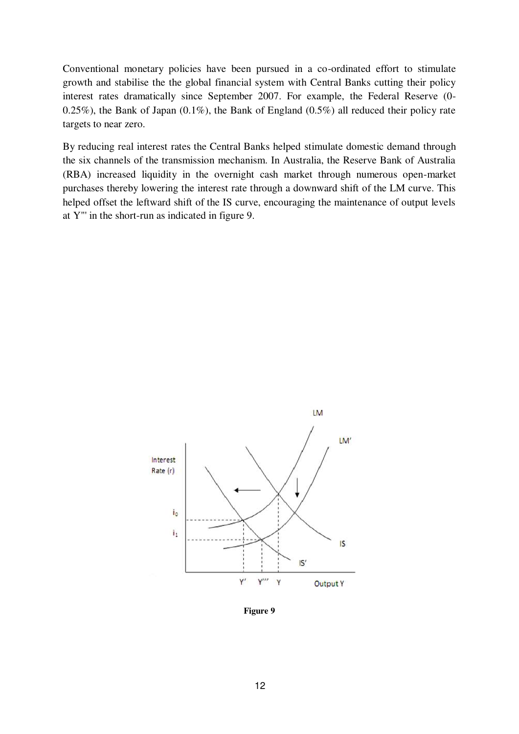Conventional monetary policies have been pursued in a co-ordinated effort to stimulate growth and stabilise the the global financial system with Central Banks cutting their policy interest rates dramatically since September 2007. For example, the Federal Reserve (0- 0.25%), the Bank of Japan  $(0.1\%)$ , the Bank of England  $(0.5\%)$  all reduced their policy rate targets to near zero.

By reducing real interest rates the Central Banks helped stimulate domestic demand through the six channels of the transmission mechanism. In Australia, the Reserve Bank of Australia (RBA) increased liquidity in the overnight cash market through numerous open-market purchases thereby lowering the interest rate through a downward shift of the LM curve. This helped offset the leftward shift of the IS curve, encouraging the maintenance of output levels at Y"' in the short-run as indicated in figure 9.



**Figure 9**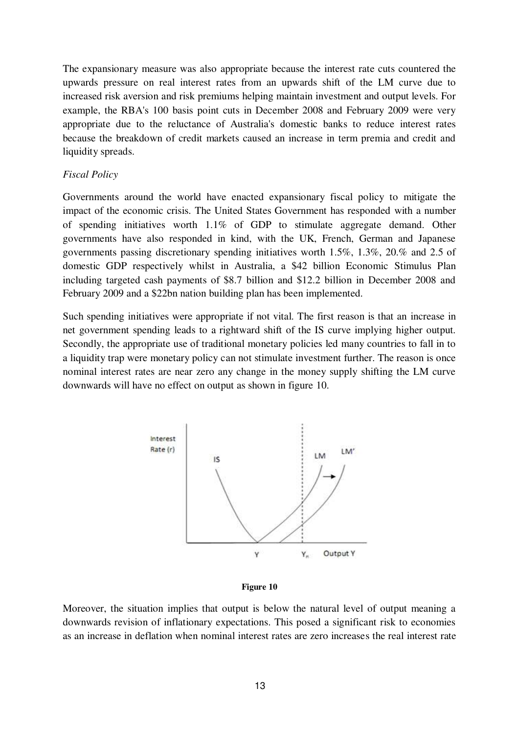The expansionary measure was also appropriate because the interest rate cuts countered the upwards pressure on real interest rates from an upwards shift of the LM curve due to increased risk aversion and risk premiums helping maintain investment and output levels. For example, the RBA's 100 basis point cuts in December 2008 and February 2009 were very appropriate due to the reluctance of Australia's domestic banks to reduce interest rates because the breakdown of credit markets caused an increase in term premia and credit and liquidity spreads.

#### *Fiscal Policy*

Governments around the world have enacted expansionary fiscal policy to mitigate the impact of the economic crisis. The United States Government has responded with a number of spending initiatives worth 1.1% of GDP to stimulate aggregate demand. Other governments have also responded in kind, with the UK, French, German and Japanese governments passing discretionary spending initiatives worth 1.5%, 1.3%, 20.% and 2.5 of domestic GDP respectively whilst in Australia, a \$42 billion Economic Stimulus Plan including targeted cash payments of \$8.7 billion and \$12.2 billion in December 2008 and February 2009 and a \$22bn nation building plan has been implemented.

Such spending initiatives were appropriate if not vital. The first reason is that an increase in net government spending leads to a rightward shift of the IS curve implying higher output. Secondly, the appropriate use of traditional monetary policies led many countries to fall in to a liquidity trap were monetary policy can not stimulate investment further. The reason is once nominal interest rates are near zero any change in the money supply shifting the LM curve downwards will have no effect on output as shown in figure 10.





Moreover, the situation implies that output is below the natural level of output meaning a downwards revision of inflationary expectations. This posed a significant risk to economies as an increase in deflation when nominal interest rates are zero increases the real interest rate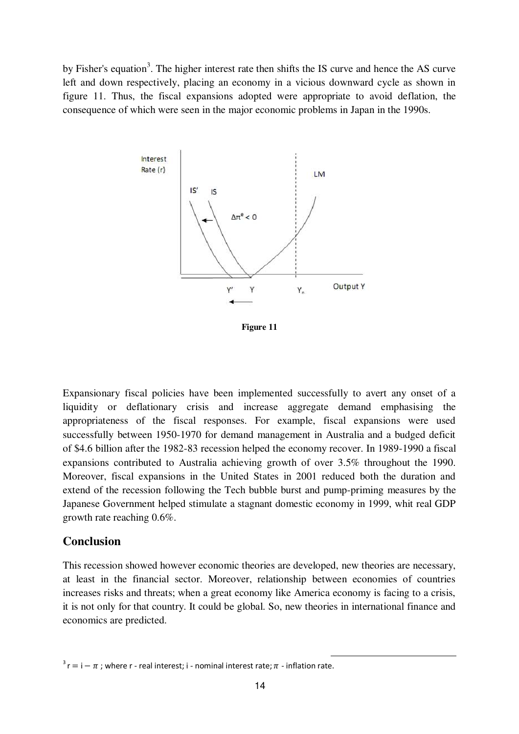by Fisher's equation<sup>3</sup>. The higher interest rate then shifts the IS curve and hence the AS curve left and down respectively, placing an economy in a vicious downward cycle as shown in figure 11. Thus, the fiscal expansions adopted were appropriate to avoid deflation, the consequence of which were seen in the major economic problems in Japan in the 1990s.



**Figure 11** 

Expansionary fiscal policies have been implemented successfully to avert any onset of a liquidity or deflationary crisis and increase aggregate demand emphasising the appropriateness of the fiscal responses. For example, fiscal expansions were used successfully between 1950-1970 for demand management in Australia and a budged deficit of \$4.6 billion after the 1982-83 recession helped the economy recover. In 1989-1990 a fiscal expansions contributed to Australia achieving growth of over 3.5% throughout the 1990. Moreover, fiscal expansions in the United States in 2001 reduced both the duration and extend of the recession following the Tech bubble burst and pump-priming measures by the Japanese Government helped stimulate a stagnant domestic economy in 1999, whit real GDP growth rate reaching 0.6%.

### **Conclusion**

This recession showed however economic theories are developed, new theories are necessary, at least in the financial sector. Moreover, relationship between economies of countries increases risks and threats; when a great economy like America economy is facing to a crisis, it is not only for that country. It could be global. So, new theories in international finance and economics are predicted.

<u>.</u>

 $3 r = i - \pi$  ; where r - real interest; i - nominal interest rate;  $\pi$  - inflation rate.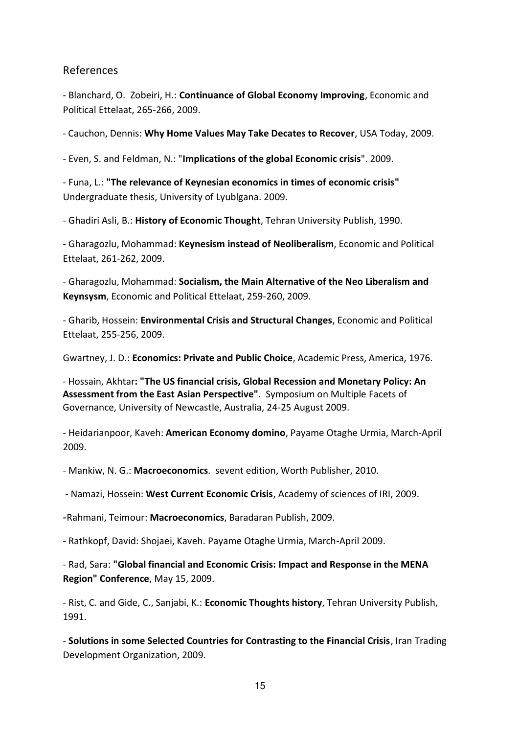## References

- Blanchard, O. Zobeiri, H.: **Continuance of Global Economy Improving**, Economic and Political Ettelaat, 265-266, 2009.

- Cauchon, Dennis: **Why Home Values May Take Decates to Recover**, USA Today, 2009.

- Even, S. and Feldman, N.: "**Implications of the global Economic crisis**". 2009.

- Funa, L.: **"The relevance of Keynesian economics in times of economic crisis"** Undergraduate thesis, University of Lyublgana. 2009.

- Ghadiri Asli, B.: **History of Economic Thought**, Tehran University Publish, 1990.

- Gharagozlu, Mohammad: **Keynesism instead of Neoliberalism**, Economic and Political Ettelaat, 261-262, 2009.

- Gharagozlu, Mohammad: **Socialism, the Main Alternative of the Neo Liberalism and Keynsysm**, Economic and Political Ettelaat, 259-260, 2009.

- Gharib, Hossein: **Environmental Crisis and Structural Changes**, Economic and Political Ettelaat, 255-256, 2009.

Gwartney, J. D.: **Economics: Private and Public Choice**, Academic Press, America, 1976.

- Hossain, Akhtar**: "The US financial crisis, Global Recession and Monetary Policy: An Assessment from the East Asian Perspective"**. Symposium on Multiple Facets of Governance, University of Newcastle, Australia, 24-25 August 2009.

- Heidarianpoor, Kaveh: **American Economy domino**, Payame Otaghe Urmia, March-April 2009.

- Mankiw, N. G.: **Macroeconomics**. sevent edition, Worth Publisher, 2010.

- Namazi, Hossein: **West Current Economic Crisis**, Academy of sciences of IRI, 2009.

- Rahmani, Teimour: **Macroeconomics**, Baradaran Publish, 2009.

- Rathkopf, David: Shojaei, Kaveh. Payame Otaghe Urmia, March-April 2009.

- Rad, Sara: **"Global financial and Economic Crisis: Impact and Response in the MENA Region" Conference**, May 15, 2009.

- Rist, C. and Gide, C., Sanjabi, K.: **Economic Thoughts history**, Tehran University Publish, 1991.

- **Solutions in some Selected Countries for Contrasting to the Financial Crisis**, Iran Trading Development Organization, 2009.